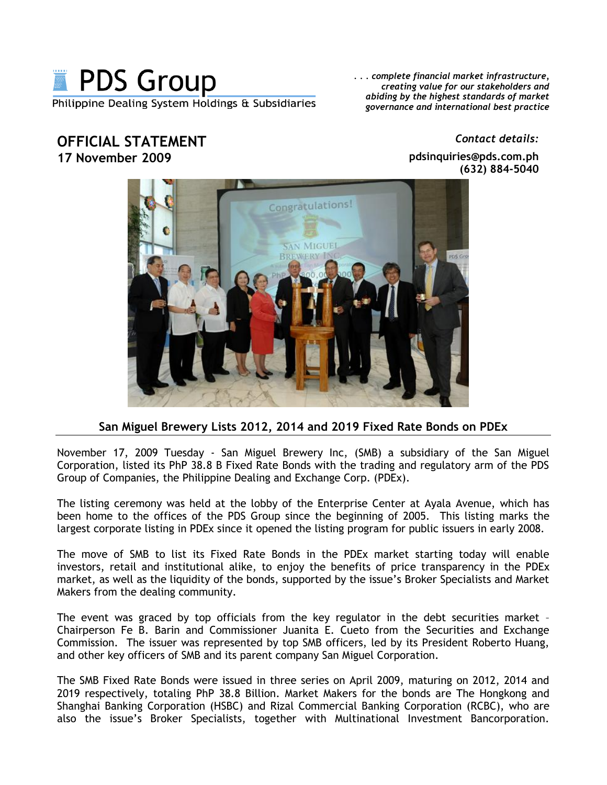

**OFFICIAL STATEMENT 17 November 2009**

*. . . complete financial market infrastructure, creating value for our stakeholders and abiding by the highest standards of market governance and international best practice*

> **pdsinquiries@pds.com.ph (632) 884-5040**

*Contact details:*



## **San Miguel Brewery Lists 2012, 2014 and 2019 Fixed Rate Bonds on PDEx**

November 17, 2009 Tuesday - San Miguel Brewery Inc, (SMB) a subsidiary of the San Miguel Corporation, listed its PhP 38.8 B Fixed Rate Bonds with the trading and regulatory arm of the PDS Group of Companies, the Philippine Dealing and Exchange Corp. (PDEx).

The listing ceremony was held at the lobby of the Enterprise Center at Ayala Avenue, which has been home to the offices of the PDS Group since the beginning of 2005. This listing marks the largest corporate listing in PDEx since it opened the listing program for public issuers in early 2008.

The move of SMB to list its Fixed Rate Bonds in the PDEx market starting today will enable investors, retail and institutional alike, to enjoy the benefits of price transparency in the PDEx market, as well as the liquidity of the bonds, supported by the issue's Broker Specialists and Market Makers from the dealing community.

The event was graced by top officials from the key regulator in the debt securities market -Chairperson Fe B. Barin and Commissioner Juanita E. Cueto from the Securities and Exchange Commission. The issuer was represented by top SMB officers, led by its President Roberto Huang, and other key officers of SMB and its parent company San Miguel Corporation.

The SMB Fixed Rate Bonds were issued in three series on April 2009, maturing on 2012, 2014 and 2019 respectively, totaling PhP 38.8 Billion. Market Makers for the bonds are The Hongkong and Shanghai Banking Corporation (HSBC) and Rizal Commercial Banking Corporation (RCBC), who are also the issue's Broker Specialists, together with Multinational Investment Bancorporation.